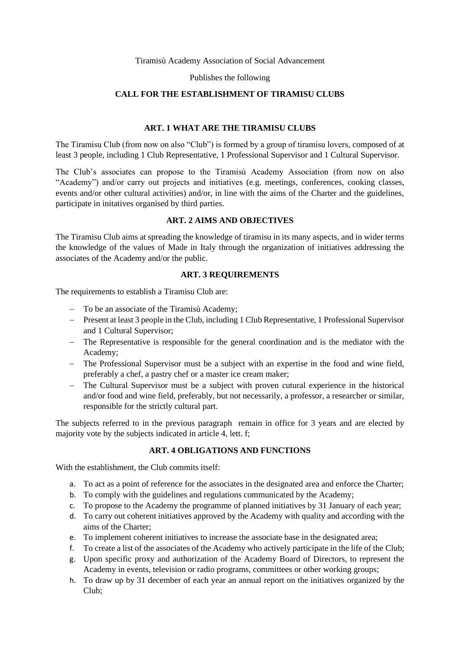Tiramisù Academy Association of Social Advancement

Publishes the following

## **CALL FOR THE ESTABLISHMENT OF TIRAMISU CLUBS**

## **ART. 1 WHAT ARE THE TIRAMISU CLUBS**

The Tiramisu Club (from now on also "Club") is formed by a group of tiramisu lovers, composed of at least 3 people, including 1 Club Representative, 1 Professional Supervisor and 1 Cultural Supervisor.

The Club's associates can propose to the Tiramisù Academy Association (from now on also "Academy") and/or carry out projects and initiatives (e.g. meetings, conferences, cooking classes, events and/or other cultural activities) and/or, in line with the aims of the Charter and the guidelines, participate in initatives organised by third parties.

## **ART. 2 AIMS AND OBJECTIVES**

The Tiramisu Club aims at spreading the knowledge of tiramisu in its many aspects, and in wider terms the knowledge of the values of Made in Italy through the organization of initiatives addressing the associates of the Academy and/or the public.

## **ART. 3 REQUIREMENTS**

The requirements to establish a Tiramisu Club are:

- − To be an associate of the Tiramisù Academy;
- − Present at least 3 people in the Club, including 1 Club Representative, 1 Professional Supervisor and 1 Cultural Supervisor;
- − The Representative is responsible for the general coordination and is the mediator with the Academy;
- − The Professional Supervisor must be a subject with an expertise in the food and wine field, preferably a chef, a pastry chef or a master ice cream maker;
- − The Cultural Supervisor must be a subject with proven cutural experience in the historical and/or food and wine field, preferably, but not necessarily, a professor, a researcher or similar, responsible for the strictly cultural part.

The subjects referred to in the previous paragraph remain in office for 3 years and are elected by majority vote by the subjects indicated in article 4, lett. f;

# **ART. 4 OBLIGATIONS AND FUNCTIONS**

With the establishment, the Club commits itself:

- a. To act as a point of reference for the associates in the designated area and enforce the Charter;
- b. To comply with the guidelines and regulations communicated by the Academy;
- c. To propose to the Academy the programme of planned initiatives by 31 January of each year;
- d. To carry out coherent initiatives approved by the Academy with quality and according with the aims of the Charter;
- e. To implement coherent initiatives to increase the associate base in the designated area;
- f. To create a list of the associates of the Academy who actively participate in the life of the Club;
- g. Upon specific proxy and authorization of the Academy Board of Directors, to represent the Academy in events, television or radio programs, committees or other working groups;
- h. To draw up by 31 december of each year an annual report on the initiatives organized by the Club;